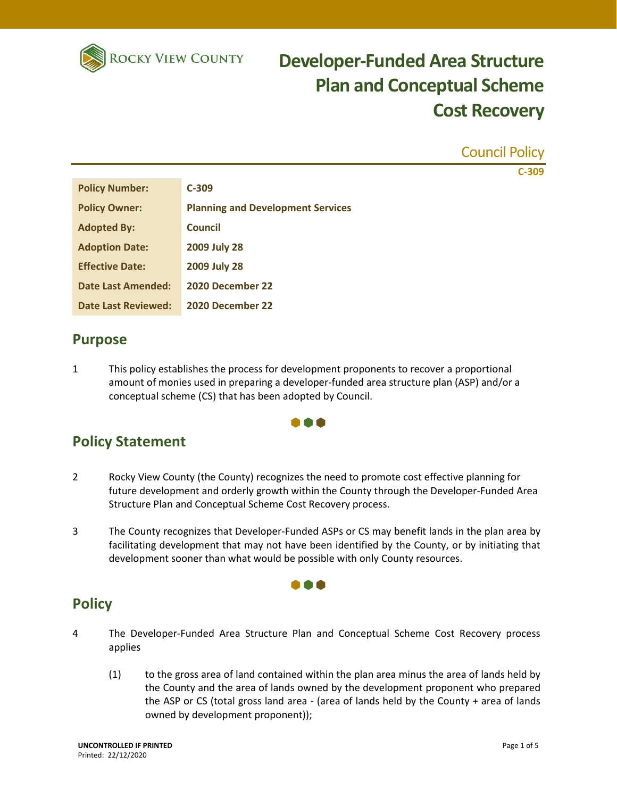

Council Policy **C-309**

| <b>Policy Number:</b>      | $C-309$                                  |
|----------------------------|------------------------------------------|
| <b>Policy Owner:</b>       | <b>Planning and Development Services</b> |
| <b>Adopted By:</b>         | Council                                  |
| <b>Adoption Date:</b>      | <b>2009 July 28</b>                      |
| <b>Effective Date:</b>     | <b>2009 July 28</b>                      |
| <b>Date Last Amended:</b>  | 2020 December 22                         |
| <b>Date Last Reviewed:</b> | 2020 December 22                         |

#### **Purpose**

1 This policy establishes the process for development proponents to recover a proportional amount of monies used in preparing a developer-funded area structure plan (ASP) and/or a conceptual scheme (CS) that has been adopted by Council.

#### **Policy Statement**

2 Rocky View County (the County) recognizes the need to promote cost effective planning for future development and orderly growth within the County through the Developer-Funded Area Structure Plan and Conceptual Scheme Cost Recovery process.

000

3 The County recognizes that Developer-Funded ASPs or CS may benefit lands in the plan area by facilitating development that may not have been identified by the County, or by initiating that development sooner than what would be possible with only County resources.

000

#### **Policy**

- 4 The Developer-Funded Area Structure Plan and Conceptual Scheme Cost Recovery process applies
	- (1) to the gross area of land contained within the plan area minus the area of lands held by the County and the area of lands owned by the development proponent who prepared the ASP or CS (total gross land area - (area of lands held by the County + area of lands owned by development proponent));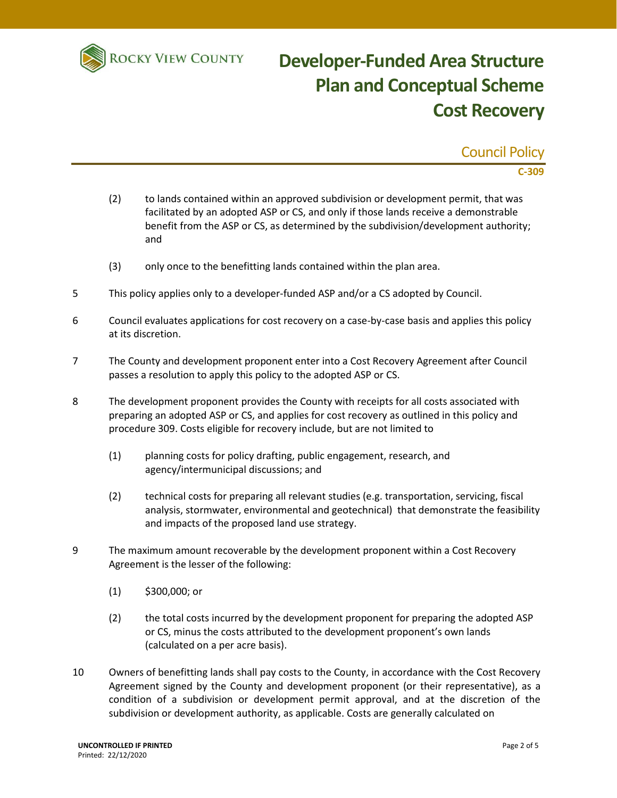

Council Policy **C-309**

- (2) to lands contained within an approved subdivision or development permit, that was facilitated by an adopted ASP or CS, and only if those lands receive a demonstrable benefit from the ASP or CS, as determined by the subdivision/development authority; and
- (3) only once to the benefitting lands contained within the plan area.
- 5 This policy applies only to a developer-funded ASP and/or a CS adopted by Council.
- 6 Council evaluates applications for cost recovery on a case-by-case basis and applies this policy at its discretion.
- 7 The County and development proponent enter into a Cost Recovery Agreement after Council passes a resolution to apply this policy to the adopted ASP or CS.
- 8 The development proponent provides the County with receipts for all costs associated with preparing an adopted ASP or CS, and applies for cost recovery as outlined in this policy and procedure 309. Costs eligible for recovery include, but are not limited to
	- (1) planning costs for policy drafting, public engagement, research, and agency/intermunicipal discussions; and
	- (2) technical costs for preparing all relevant studies (e.g. transportation, servicing, fiscal analysis, stormwater, environmental and geotechnical) that demonstrate the feasibility and impacts of the proposed land use strategy.
- 9 The maximum amount recoverable by the development proponent within a Cost Recovery Agreement is the lesser of the following:
	- (1) \$300,000; or
	- (2) the total costs incurred by the development proponent for preparing the adopted ASP or CS, minus the costs attributed to the development proponent's own lands (calculated on a per acre basis).
- 10 Owners of benefitting lands shall pay costs to the County, in accordance with the Cost Recovery Agreement signed by the County and development proponent (or their representative), as a condition of a subdivision or development permit approval, and at the discretion of the subdivision or development authority, as applicable. Costs are generally calculated on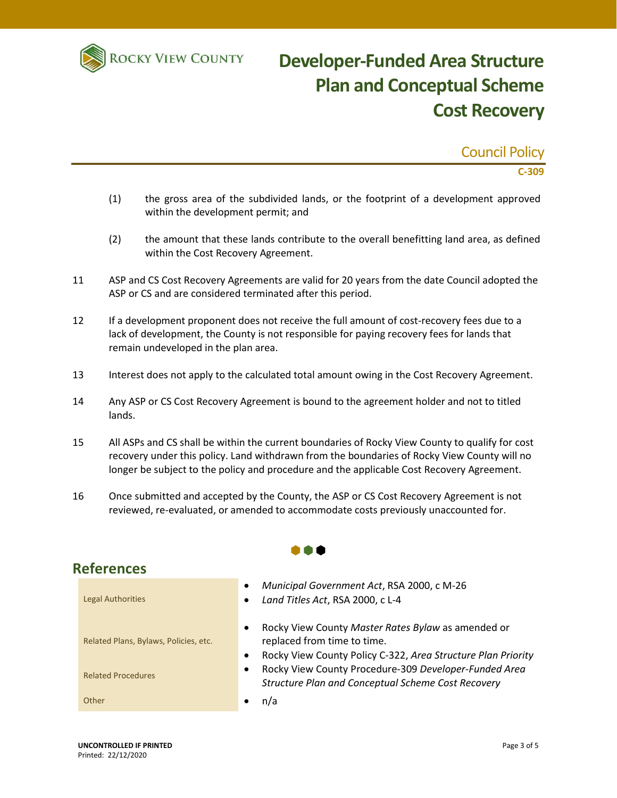

Council Policy **C-309**

- (1) the gross area of the subdivided lands, or the footprint of a development approved within the development permit; and
- (2) the amount that these lands contribute to the overall benefitting land area, as defined within the Cost Recovery Agreement.
- 11 ASP and CS Cost Recovery Agreements are valid for 20 years from the date Council adopted the ASP or CS and are considered terminated after this period.
- 12 If a development proponent does not receive the full amount of cost-recovery fees due to a lack of development, the County is not responsible for paying recovery fees for lands that remain undeveloped in the plan area.
- 13 Interest does not apply to the calculated total amount owing in the Cost Recovery Agreement.
- 14 Any ASP or CS Cost Recovery Agreement is bound to the agreement holder and not to titled lands.
- 15 All ASPs and CS shall be within the current boundaries of Rocky View County to qualify for cost recovery under this policy. Land withdrawn from the boundaries of Rocky View County will no longer be subject to the policy and procedure and the applicable Cost Recovery Agreement.
- 16 Once submitted and accepted by the County, the ASP or CS Cost Recovery Agreement is not reviewed, re-evaluated, or amended to accommodate costs previously unaccounted for.

 $\bullet \bullet \bullet$ 



#### **References** Legal Authorities

Related Plans, Bylaws, Policies, etc.

- Rocky View County *Master Rates Bylaw* as amended or replaced from time to time.
	- Rocky View County Policy C-322, *Area Structure Plan Priority*
- Related Procedures Rocky View County Procedure-309 *Developer-Funded Area Structure Plan and Conceptual Scheme Cost Recovery*
- Other **n/a** and a set of the set of the set of the set of the set of the set of the set of the set of the set of the set of the set of the set of the set of the set of the set of the set of the set of the set of the set of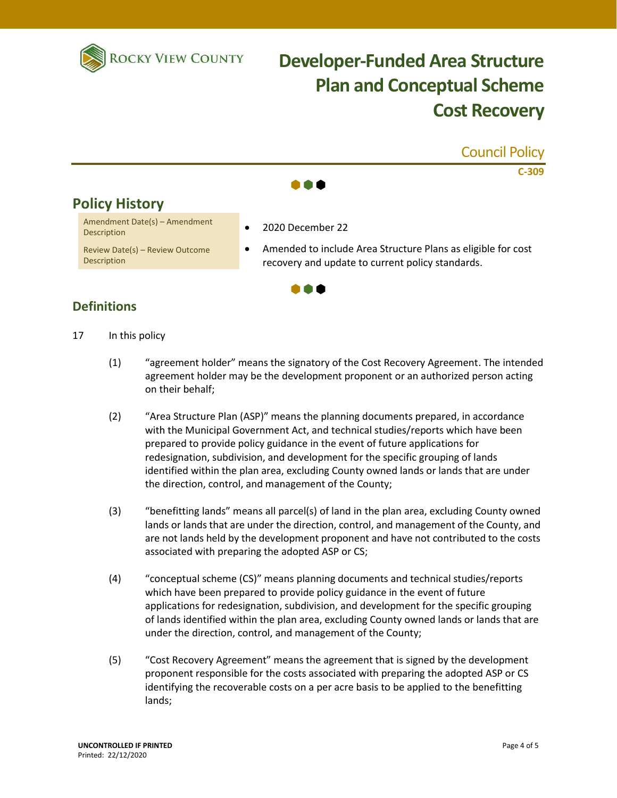



- 17 In this policy
	- (1) "agreement holder" means the signatory of the Cost Recovery Agreement. The intended agreement holder may be the development proponent or an authorized person acting on their behalf;
	- (2) "Area Structure Plan (ASP)" means the planning documents prepared, in accordance with the Municipal Government Act, and technical studies/reports which have been prepared to provide policy guidance in the event of future applications for redesignation, subdivision, and development for the specific grouping of lands identified within the plan area, excluding County owned lands or lands that are under the direction, control, and management of the County;
	- (3) "benefitting lands" means all parcel(s) of land in the plan area, excluding County owned lands or lands that are under the direction, control, and management of the County, and are not lands held by the development proponent and have not contributed to the costs associated with preparing the adopted ASP or CS;
	- (4) "conceptual scheme (CS)" means planning documents and technical studies/reports which have been prepared to provide policy guidance in the event of future applications for redesignation, subdivision, and development for the specific grouping of lands identified within the plan area, excluding County owned lands or lands that are under the direction, control, and management of the County;
	- (5) "Cost Recovery Agreement" means the agreement that is signed by the development proponent responsible for the costs associated with preparing the adopted ASP or CS identifying the recoverable costs on a per acre basis to be applied to the benefitting lands;